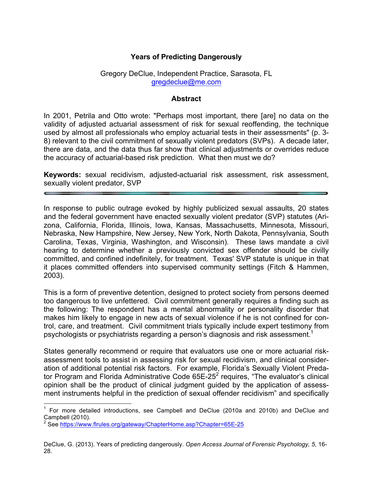## **Years of Predicting Dangerously**

#### Gregory DeClue, Independent Practice, Sarasota, FL gregdeclue@me.com

#### **Abstract**

In 2001, Petrila and Otto wrote: "Perhaps most important, there [are] no data on the validity of adjusted actuarial assessment of risk for sexual reoffending, the technique used by almost all professionals who employ actuarial tests in their assessments" (p. 3- 8) relevant to the civil commitment of sexually violent predators (SVPs). A decade later, there are data, and the data thus far show that clinical adjustments or overrides reduce the accuracy of actuarial-based risk prediction. What then must we do?

**Keywords:** sexual recidivism, adjusted-actuarial risk assessment, risk assessment, sexually violent predator, SVP

In response to public outrage evoked by highly publicized sexual assaults, 20 states and the federal government have enacted sexually violent predator (SVP) statutes (Arizona, California, Florida, Illinois, Iowa, Kansas, Massachusetts, Minnesota, Missouri, Nebraska, New Hampshire, New Jersey, New York, North Dakota, Pennsylvania, South Carolina, Texas, Virginia, Washington, and Wisconsin). These laws mandate a civil hearing to determine whether a previously convicted sex offender should be civilly committed, and confined indefinitely, for treatment. Texas' SVP statute is unique in that it places committed offenders into supervised community settings (Fitch & Hammen, 2003).

This is a form of preventive detention, designed to protect society from persons deemed too dangerous to live unfettered. Civil commitment generally requires a finding such as the following: The respondent has a mental abnormality or personality disorder that makes him likely to engage in new acts of sexual violence if he is not confined for control, care, and treatment. Civil commitment trials typically include expert testimony from psychologists or psychiatrists regarding a person's diagnosis and risk assessment.<sup>1</sup>

States generally recommend or require that evaluators use one or more actuarial riskassessment tools to assist in assessing risk for sexual recidivism, and clinical consideration of additional potential risk factors. For example, Florida's Sexually Violent Predator Program and Florida Administrative Code 65E-25<sup>2</sup> requires, "The evaluator's clinical opinion shall be the product of clinical judgment guided by the application of assessment instruments helpful in the prediction of sexual offender recidivism" and specifically

 <sup>1</sup> For more detailed introductions, see Campbell and DeClue (2010a and 2010b) and DeClue and Campbell (2010).

<sup>&</sup>lt;sup>2</sup> See https://www.flrules.org/gateway/ChapterHome.asp?Chapter=65E-25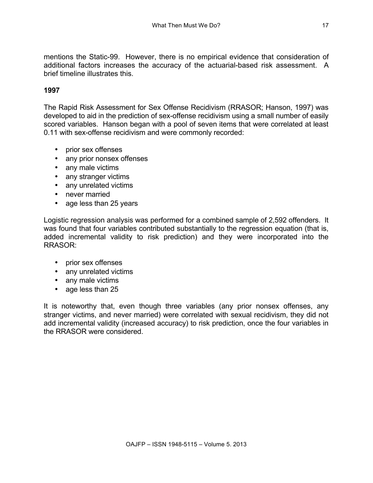mentions the Static-99. However, there is no empirical evidence that consideration of additional factors increases the accuracy of the actuarial-based risk assessment. A brief timeline illustrates this.

## **1997**

The Rapid Risk Assessment for Sex Offense Recidivism (RRASOR; Hanson, 1997) was developed to aid in the prediction of sex-offense recidivism using a small number of easily scored variables. Hanson began with a pool of seven items that were correlated at least 0.11 with sex-offense recidivism and were commonly recorded:

- prior sex offenses
- any prior nonsex offenses
- any male victims
- any stranger victims
- any unrelated victims
- never married
- age less than 25 years

Logistic regression analysis was performed for a combined sample of 2,592 offenders. It was found that four variables contributed substantially to the regression equation (that is, added incremental validity to risk prediction) and they were incorporated into the RRASOR:

- prior sex offenses
- any unrelated victims
- any male victims
- age less than 25

It is noteworthy that, even though three variables (any prior nonsex offenses, any stranger victims, and never married) were correlated with sexual recidivism, they did not add incremental validity (increased accuracy) to risk prediction, once the four variables in the RRASOR were considered.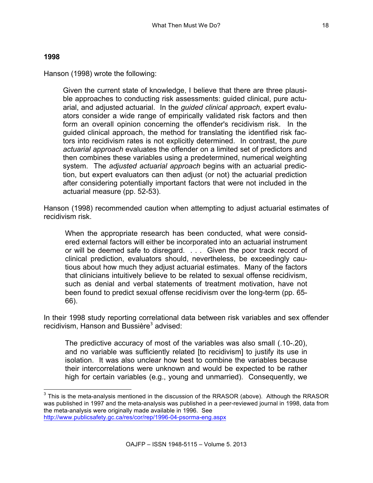#### **1998**

Hanson (1998) wrote the following:

Given the current state of knowledge, I believe that there are three plausible approaches to conducting risk assessments: guided clinical, pure actuarial, and adjusted actuarial. In the *guided clinical approach,* expert evaluators consider a wide range of empirically validated risk factors and then form an overall opinion concerning the offender's recidivism risk. In the guided clinical approach, the method for translating the identified risk factors into recidivism rates is not explicitly determined. In contrast, the *pure actuarial approach* evaluates the offender on a limited set of predictors and then combines these variables using a predetermined, numerical weighting system. The *adjusted actuarial approach* begins with an actuarial prediction, but expert evaluators can then adjust (or not) the actuarial prediction after considering potentially important factors that were not included in the actuarial measure (pp. 52-53).

Hanson (1998) recommended caution when attempting to adjust actuarial estimates of recidivism risk.

When the appropriate research has been conducted, what were considered external factors will either be incorporated into an actuarial instrument or will be deemed safe to disregard. . . . Given the poor track record of clinical prediction, evaluators should, nevertheless, be exceedingly cautious about how much they adjust actuarial estimates. Many of the factors that clinicians intuitively believe to be related to sexual offense recidivism, such as denial and verbal statements of treatment motivation, have not been found to predict sexual offense recidivism over the long-term (pp. 65- 66).

In their 1998 study reporting correlational data between risk variables and sex offender recidivism, Hanson and Bussière<sup>3</sup> advised:

The predictive accuracy of most of the variables was also small (.10-.20), and no variable was sufficiently related [to recidivism] to justify its use in isolation. It was also unclear how best to combine the variables because their intercorrelations were unknown and would be expected to be rather high for certain variables (e.g., young and unmarried). Consequently, we

 $3$  This is the meta-analysis mentioned in the discussion of the RRASOR (above). Although the RRASOR was published in 1997 and the meta-analysis was published in a peer-reviewed journal in 1998, data from the meta-analysis were originally made available in 1996. See http://www.publicsafety.gc.ca/res/cor/rep/1996-04-psorma-eng.aspx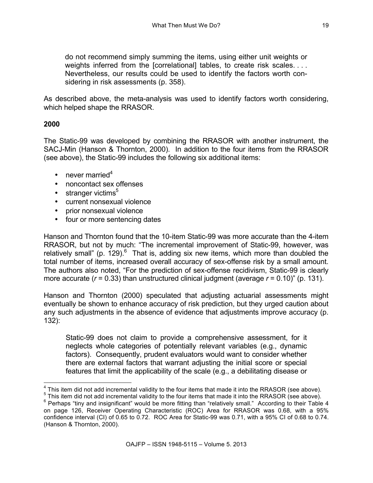do not recommend simply summing the items, using either unit weights or weights inferred from the [correlational] tables, to create risk scales.... Nevertheless, our results could be used to identify the factors worth considering in risk assessments (p. 358).

As described above, the meta-analysis was used to identify factors worth considering, which helped shape the RRASOR.

## **2000**

The Static-99 was developed by combining the RRASOR with another instrument, the SACJ-Min (Hanson & Thornton, 2000). In addition to the four items from the RRASOR (see above), the Static-99 includes the following six additional items:

- never married<sup>4</sup>
- noncontact sex offenses
- $\cdot$  stranger victims<sup>5</sup>
- current nonsexual violence
- prior nonsexual violence
- four or more sentencing dates

Hanson and Thornton found that the 10-item Static-99 was more accurate than the 4-item RRASOR, but not by much: "The incremental improvement of Static-99, however, was relatively small" (p.  $129$ ).<sup>6</sup> That is, adding six new items, which more than doubled the total number of items, increased overall accuracy of sex-offense risk by a small amount. The authors also noted, "For the prediction of sex-offense recidivism, Static-99 is clearly more accurate (*r* = 0.33) than unstructured clinical judgment (average *r* = 0.10)" (p. 131).

Hanson and Thornton (2000) speculated that adjusting actuarial assessments might eventually be shown to enhance accuracy of risk prediction, but they urged caution about any such adjustments in the absence of evidence that adjustments improve accuracy (p. 132):

Static-99 does not claim to provide a comprehensive assessment, for it neglects whole categories of potentially relevant variables (e.g., dynamic factors). Consequently, prudent evaluators would want to consider whether there are external factors that warrant adjusting the initial score or special features that limit the applicability of the scale (e.g., a debilitating disease or

 $4$  This item did not add incremental validity to the four items that made it into the RRASOR (see above).  $5$  This item did not add incremental validity to the four items that made it into the RRASOR (see above).

 $6$  Perhaps "tiny and insignificant" would be more fitting than "relatively small." According to their Table 4 on page 126, Receiver Operating Characteristic (ROC) Area for RRASOR was 0.68, with a 95% confidence interval (CI) of 0.65 to 0.72. ROC Area for Static-99 was 0.71, with a 95% CI of 0.68 to 0.74. (Hanson & Thornton, 2000).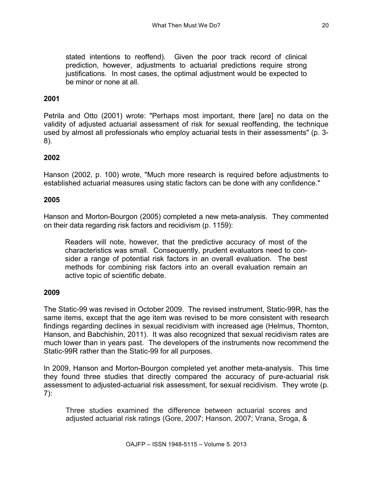stated intentions to reoffend). Given the poor track record of clinical prediction, however, adjustments to actuarial predictions require strong justifications. In most cases, the optimal adjustment would be expected to be minor or none at all.

## **2001**

Petrila and Otto (2001) wrote: "Perhaps most important, there [are] no data on the validity of adjusted actuarial assessment of risk for sexual reoffending, the technique used by almost all professionals who employ actuarial tests in their assessments" (p. 3- 8).

## **2002**

Hanson (2002, p. 100) wrote, "Much more research is required before adjustments to established actuarial measures using static factors can be done with any confidence."

### **2005**

Hanson and Morton-Bourgon (2005) completed a new meta-analysis. They commented on their data regarding risk factors and recidivism (p. 1159):

Readers will note, however, that the predictive accuracy of most of the characteristics was small. Consequently, prudent evaluators need to consider a range of potential risk factors in an overall evaluation. The best methods for combining risk factors into an overall evaluation remain an active topic of scientific debate.

### **2009**

The Static-99 was revised in October 2009. The revised instrument, Static-99R, has the same items, except that the age item was revised to be more consistent with research findings regarding declines in sexual recidivism with increased age (Helmus, Thornton, Hanson, and Babchishin, 2011). It was also recognized that sexual recidivism rates are much lower than in years past. The developers of the instruments now recommend the Static-99R rather than the Static-99 for all purposes.

In 2009, Hanson and Morton-Bourgon completed yet another meta-analysis. This time they found three studies that directly compared the accuracy of pure-actuarial risk assessment to adjusted-actuarial risk assessment, for sexual recidivism. They wrote (p. 7):

Three studies examined the difference between actuarial scores and adjusted actuarial risk ratings (Gore, 2007; Hanson, 2007; Vrana, Sroga, &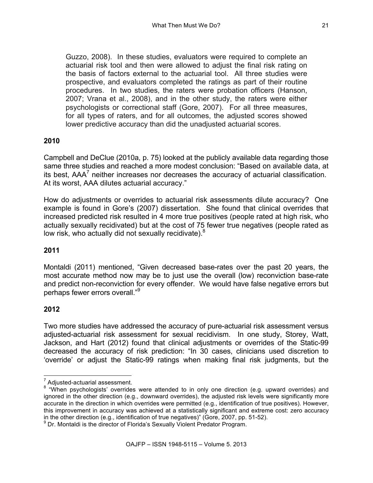Guzzo, 2008). In these studies, evaluators were required to complete an actuarial risk tool and then were allowed to adjust the final risk rating on the basis of factors external to the actuarial tool. All three studies were prospective, and evaluators completed the ratings as part of their routine procedures. In two studies, the raters were probation officers (Hanson, 2007; Vrana et al., 2008), and in the other study, the raters were either psychologists or correctional staff (Gore, 2007). For all three measures, for all types of raters, and for all outcomes, the adjusted scores showed lower predictive accuracy than did the unadjusted actuarial scores.

## **2010**

Campbell and DeClue (2010a, p. 75) looked at the publicly available data regarding those same three studies and reached a more modest conclusion: "Based on available data, at its best. AAA<sup>7</sup> neither increases nor decreases the accuracy of actuarial classification. At its worst, AAA dilutes actuarial accuracy."

How do adjustments or overrides to actuarial risk assessments dilute accuracy? One example is found in Gore's (2007) dissertation. She found that clinical overrides that increased predicted risk resulted in 4 more true positives (people rated at high risk, who actually sexually recidivated) but at the cost of 75 fewer true negatives (people rated as low risk, who actually did not sexually recidivate). $8$ 

### **2011**

Montaldi (2011) mentioned, "Given decreased base-rates over the past 20 years, the most accurate method now may be to just use the overall (low) reconviction base-rate and predict non-reconviction for every offender. We would have false negative errors but perhaps fewer errors overall."9

### **2012**

Two more studies have addressed the accuracy of pure-actuarial risk assessment versus adjusted-actuarial risk assessment for sexual recidivism. In one study, Storey, Watt, Jackson, and Hart (2012) found that clinical adjustments or overrides of the Static-99 decreased the accuracy of risk prediction: "In 30 cases, clinicians used discretion to 'override' or adjust the Static-99 ratings when making final risk judgments, but the

 $\sigma$  Adjusted-actuarial assessment.<br><sup>8</sup> "When psychologists' overrides were attended to in only one direction (e.g. upward overrides) and ignored in the other direction (e.g., downward overrides), the adjusted risk levels were significantly more accurate in the direction in which overrides were permitted (e.g., identification of true positives). However, this improvement in accuracy was achieved at a statistically significant and extreme cost: zero accuracy in the other direction (e.g., identification of true negatives)" (Gore, 2007, pp. 51-52).  $9$  Dr. Montaldi is the director of Florida's Sexually Violent Predator Program.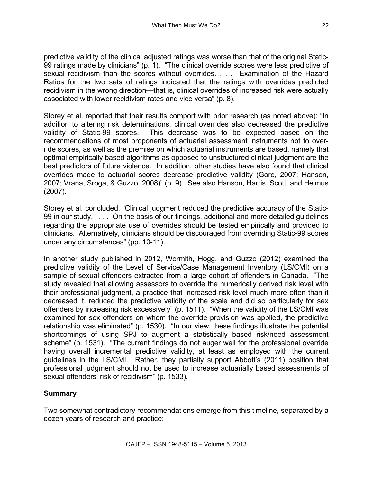predictive validity of the clinical adjusted ratings was worse than that of the original Static-99 ratings made by clinicians" (p. 1). "The clinical override scores were less predictive of sexual recidivism than the scores without overrides. . . . Examination of the Hazard Ratios for the two sets of ratings indicated that the ratings with overrides predicted recidivism in the wrong direction—that is, clinical overrides of increased risk were actually associated with lower recidivism rates and vice versa" (p. 8).

Storey et al. reported that their results comport with prior research (as noted above): "In addition to altering risk determinations, clinical overrides also decreased the predictive validity of Static-99 scores. This decrease was to be expected based on the recommendations of most proponents of actuarial assessment instruments not to override scores, as well as the premise on which actuarial instruments are based, namely that optimal empirically based algorithms as opposed to unstructured clinical judgment are the best predictors of future violence. In addition, other studies have also found that clinical overrides made to actuarial scores decrease predictive validity (Gore, 2007; Hanson, 2007; Vrana, Sroga, & Guzzo, 2008)" (p. 9). See also Hanson, Harris, Scott, and Helmus (2007).

Storey et al. concluded, "Clinical judgment reduced the predictive accuracy of the Static-99 in our study. . . . On the basis of our findings, additional and more detailed guidelines regarding the appropriate use of overrides should be tested empirically and provided to clinicians. Alternatively, clinicians should be discouraged from overriding Static-99 scores under any circumstances" (pp. 10-11).

In another study published in 2012, Wormith, Hogg, and Guzzo (2012) examined the predictive validity of the Level of Service/Case Management Inventory (LS/CMI) on a sample of sexual offenders extracted from a large cohort of offenders in Canada. "The study revealed that allowing assessors to override the numerically derived risk level with their professional judgment, a practice that increased risk level much more often than it decreased it, reduced the predictive validity of the scale and did so particularly for sex offenders by increasing risk excessively" (p. 1511). "When the validity of the LS/CMI was examined for sex offenders on whom the override provision was applied, the predictive relationship was eliminated" (p. 1530). "In our view, these findings illustrate the potential shortcomings of using SPJ to augment a statistically based risk/need assessment scheme" (p. 1531). "The current findings do not auger well for the professional override having overall incremental predictive validity, at least as employed with the current guidelines in the LS/CMI. Rather, they partially support Abbott's (2011) position that professional judgment should not be used to increase actuarially based assessments of sexual offenders' risk of recidivism" (p. 1533).

# **Summary**

Two somewhat contradictory recommendations emerge from this timeline, separated by a dozen years of research and practice: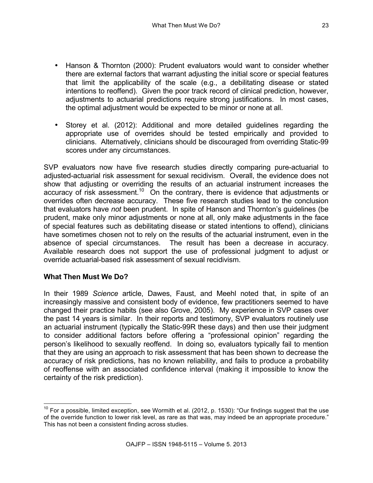- Hanson & Thornton (2000): Prudent evaluators would want to consider whether there are external factors that warrant adjusting the initial score or special features that limit the applicability of the scale (e.g., a debilitating disease or stated intentions to reoffend). Given the poor track record of clinical prediction, however, adjustments to actuarial predictions require strong justifications. In most cases, the optimal adjustment would be expected to be minor or none at all.
- Storey et al. (2012): Additional and more detailed guidelines regarding the appropriate use of overrides should be tested empirically and provided to clinicians. Alternatively, clinicians should be discouraged from overriding Static-99 scores under any circumstances.

SVP evaluators now have five research studies directly comparing pure-actuarial to adjusted-actuarial risk assessment for sexual recidivism. Overall, the evidence does not show that adjusting or overriding the results of an actuarial instrument increases the accuracy of risk assessment.<sup>10</sup> On the contrary, there is evidence that adjustments or overrides often decrease accuracy. These five research studies lead to the conclusion that evaluators have *not* been prudent. In spite of Hanson and Thornton's guidelines (be prudent, make only minor adjustments or none at all, only make adjustments in the face of special features such as debilitating disease or stated intentions to offend), clinicians have sometimes chosen not to rely on the results of the actuarial instrument, even in the absence of special circumstances. The result has been a decrease in accuracy. Available research does not support the use of professional judgment to adjust or override actuarial-based risk assessment of sexual recidivism.

## **What Then Must We Do?**

In their 1989 *Science* article, Dawes, Faust, and Meehl noted that, in spite of an increasingly massive and consistent body of evidence, few practitioners seemed to have changed their practice habits (see also Grove, 2005). My experience in SVP cases over the past 14 years is similar. In their reports and testimony, SVP evaluators routinely use an actuarial instrument (typically the Static-99R these days) and then use their judgment to consider additional factors before offering a "professional opinion" regarding the person's likelihood to sexually reoffend. In doing so, evaluators typically fail to mention that they are using an approach to risk assessment that has been shown to decrease the accuracy of risk predictions, has no known reliability, and fails to produce a probability of reoffense with an associated confidence interval (making it impossible to know the certainty of the risk prediction).

 $10$  For a possible, limited exception, see Wormith et al. (2012, p. 1530): "Our findings suggest that the use of the override function to lower risk level, as rare as that was, may indeed be an appropriate procedure." This has not been a consistent finding across studies.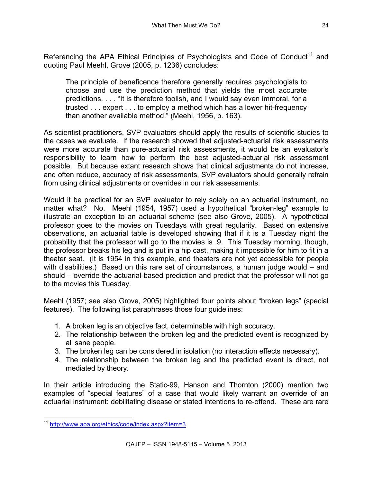Referencing the APA Ethical Principles of Psychologists and Code of Conduct<sup>11</sup> and quoting Paul Meehl, Grove (2005, p. 1236) concludes:

The principle of beneficence therefore generally requires psychologists to choose and use the prediction method that yields the most accurate predictions. . . . "It is therefore foolish, and I would say even immoral, for a trusted . . . expert . . . to employ a method which has a lower hit-frequency than another available method." (Meehl, 1956, p. 163).

As scientist-practitioners, SVP evaluators should apply the results of scientific studies to the cases we evaluate. If the research showed that adjusted-actuarial risk assessments were more accurate than pure-actuarial risk assessments, it would be an evaluator's responsibility to learn how to perform the best adjusted-actuarial risk assessment possible. But because extant research shows that clinical adjustments do not increase, and often reduce, accuracy of risk assessments, SVP evaluators should generally refrain from using clinical adjustments or overrides in our risk assessments.

Would it be practical for an SVP evaluator to rely solely on an actuarial instrument, no matter what? No. Meehl (1954, 1957) used a hypothetical "broken-leg" example to illustrate an exception to an actuarial scheme (see also Grove, 2005). A hypothetical professor goes to the movies on Tuesdays with great regularity. Based on extensive observations, an actuarial table is developed showing that if it is a Tuesday night the probability that the professor will go to the movies is .9. This Tuesday morning, though, the professor breaks his leg and is put in a hip cast, making it impossible for him to fit in a theater seat. (It is 1954 in this example, and theaters are not yet accessible for people with disabilities.) Based on this rare set of circumstances, a human judge would – and should – override the actuarial-based prediction and predict that the professor will not go to the movies this Tuesday.

Meehl (1957; see also Grove, 2005) highlighted four points about "broken legs" (special features). The following list paraphrases those four guidelines:

- 1. A broken leg is an objective fact, determinable with high accuracy.
- 2. The relationship between the broken leg and the predicted event is recognized by all sane people.
- 3. The broken leg can be considered in isolation (no interaction effects necessary).
- 4. The relationship between the broken leg and the predicted event is direct, not mediated by theory.

In their article introducing the Static-99, Hanson and Thornton (2000) mention two examples of "special features" of a case that would likely warrant an override of an actuarial instrument: debilitating disease or stated intentions to re-offend. These are rare

 <sup>11</sup> http://www.apa.org/ethics/code/index.aspx?item=3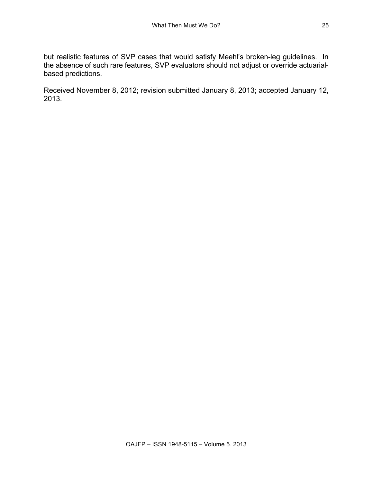but realistic features of SVP cases that would satisfy Meehl's broken-leg guidelines. In the absence of such rare features, SVP evaluators should not adjust or override actuarialbased predictions.

Received November 8, 2012; revision submitted January 8, 2013; accepted January 12, 2013.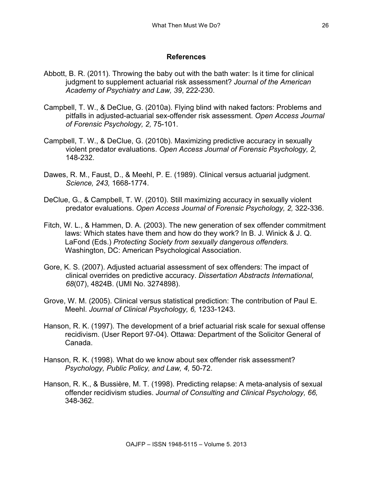## **References**

- Abbott, B. R. (2011). Throwing the baby out with the bath water: Is it time for clinical judgment to supplement actuarial risk assessment? *Journal of the American Academy of Psychiatry and Law, 39*, 222-230.
- Campbell, T. W., & DeClue, G. (2010a). Flying blind with naked factors: Problems and pitfalls in adjusted-actuarial sex-offender risk assessment. *Open Access Journal of Forensic Psychology, 2,* 75-101.
- Campbell, T. W., & DeClue, G. (2010b). Maximizing predictive accuracy in sexually violent predator evaluations. *Open Access Journal of Forensic Psychology, 2,* 148-232.
- Dawes, R. M., Faust, D., & Meehl, P. E. (1989). Clinical versus actuarial judgment. *Science, 243,* 1668-1774.
- DeClue, G., & Campbell, T. W. (2010). Still maximizing accuracy in sexually violent predator evaluations. *Open Access Journal of Forensic Psychology, 2,* 322-336.
- Fitch, W. L., & Hammen, D. A. (2003). The new generation of sex offender commitment laws: Which states have them and how do they work? In B. J. Winick & J. Q. LaFond (Eds.) *Protecting Society from sexually dangerous offenders.* Washington, DC: American Psychological Association.
- Gore, K. S. (2007). Adjusted actuarial assessment of sex offenders: The impact of clinical overrides on predictive accuracy. *Dissertation Abstracts International, 68*(07), 4824B. (UMI No. 3274898).
- Grove, W. M. (2005). Clinical versus statistical prediction: The contribution of Paul E. Meehl. *Journal of Clinical Psychology, 6,* 1233-1243.
- Hanson, R. K. (1997). The development of a brief actuarial risk scale for sexual offense recidivism. (User Report 97-04). Ottawa: Department of the Solicitor General of Canada.
- Hanson, R. K. (1998). What do we know about sex offender risk assessment? *Psychology, Public Policy, and Law, 4,* 50-72.
- Hanson, R. K., & Bussière, M. T. (1998). Predicting relapse: A meta-analysis of sexual offender recidivism studies. *Journal of Consulting and Clinical Psychology, 66,* 348-362.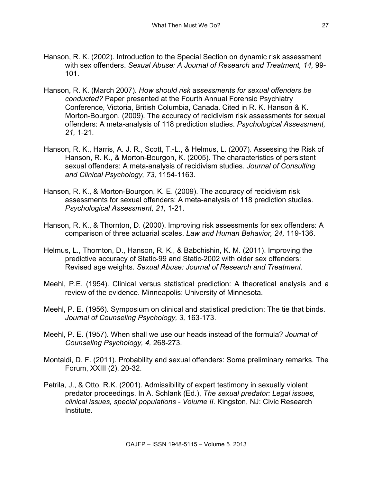- Hanson, R. K. (2002). Introduction to the Special Section on dynamic risk assessment with sex offenders. *Sexual Abuse: A Journal of Research and Treatment, 14,* 99- 101.
- Hanson, R. K. (March 2007). *How should risk assessments for sexual offenders be conducted?* Paper presented at the Fourth Annual Forensic Psychiatry Conference, Victoria, British Columbia, Canada. Cited in R. K. Hanson & K. Morton-Bourgon. (2009). The accuracy of recidivism risk assessments for sexual offenders: A meta-analysis of 118 prediction studies. *Psychological Assessment, 21,* 1-21.
- Hanson, R. K., Harris, A. J. R., Scott, T.-L., & Helmus, L. (2007). Assessing the Risk of Hanson, R. K., & Morton-Bourgon, K. (2005). The characteristics of persistent sexual offenders: A meta-analysis of recidivism studies. *Journal of Consulting and Clinical Psychology, 73,* 1154-1163.
- Hanson, R. K., & Morton-Bourgon, K. E. (2009). The accuracy of recidivism risk assessments for sexual offenders: A meta-analysis of 118 prediction studies. *Psychological Assessment, 21,* 1-21.
- Hanson, R. K., & Thornton, D. (2000). Improving risk assessments for sex offenders: A comparison of three actuarial scales. *Law and Human Behavior, 24,* 119-136.
- Helmus, L., Thornton, D., Hanson, R. K., & Babchishin, K. M. (2011). Improving the predictive accuracy of Static-99 and Static-2002 with older sex offenders: Revised age weights. *Sexual Abuse: Journal of Research and Treatment.*
- Meehl, P.E. (1954). Clinical versus statistical prediction: A theoretical analysis and a review of the evidence. Minneapolis: University of Minnesota.
- Meehl, P. E. (1956). Symposium on clinical and statistical prediction: The tie that binds. *Journal of Counseling Psychology, 3,* 163-173.
- Meehl, P. E. (1957). When shall we use our heads instead of the formula? *Journal of Counseling Psychology, 4,* 268-273.
- Montaldi, D. F. (2011). Probability and sexual offenders: Some preliminary remarks. The Forum, XXIII (2), 20-32.
- Petrila, J., & Otto, R.K. (2001). Admissibility of expert testimony in sexually violent predator proceedings. In A. Schlank (Ed.), *The sexual predator: Legal issues, clinical issues, special populations - Volume II.* Kingston, NJ: Civic Research Institute.